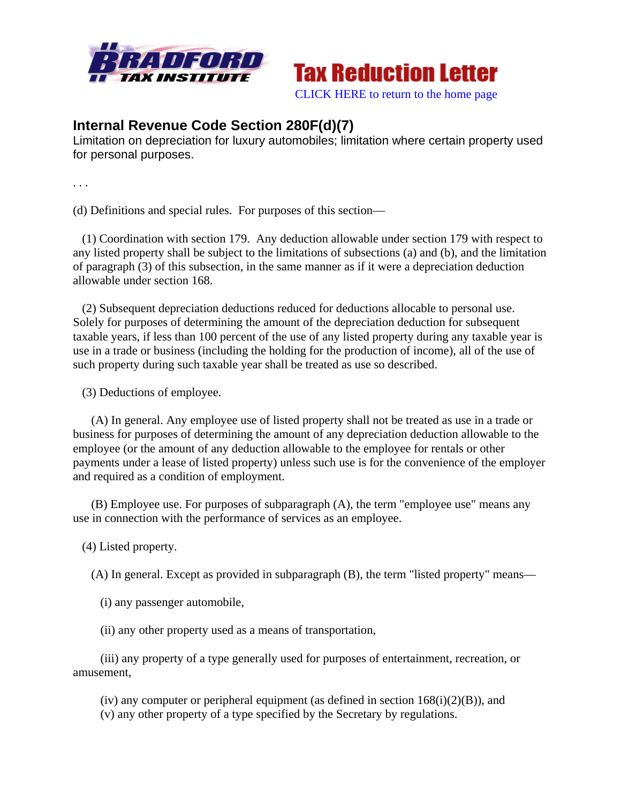



## **Internal Revenue Code Section 280F(d)(7)**

Limitation on depreciation for luxury automobiles; limitation where certain property used for personal purposes.

. . .

(d) Definitions and special rules. For purposes of this section—

 (1) Coordination with section 179. Any deduction allowable under section 179 with respect to any listed property shall be subject to the limitations of subsections (a) and (b), and the limitation of paragraph (3) of this subsection, in the same manner as if it were a depreciation deduction allowable under section 168.

 (2) Subsequent depreciation deductions reduced for deductions allocable to personal use. Solely for purposes of determining the amount of the depreciation deduction for subsequent taxable years, if less than 100 percent of the use of any listed property during any taxable year is use in a trade or business (including the holding for the production of income), all of the use of such property during such taxable year shall be treated as use so described.

(3) Deductions of employee.

 (A) In general. Any employee use of listed property shall not be treated as use in a trade or business for purposes of determining the amount of any depreciation deduction allowable to the employee (or the amount of any deduction allowable to the employee for rentals or other payments under a lease of listed property) unless such use is for the convenience of the employer and required as a condition of employment.

 (B) Employee use. For purposes of subparagraph (A), the term "employee use" means any use in connection with the performance of services as an employee.

(4) Listed property.

(A) In general. Except as provided in subparagraph (B), the term "listed property" means—

(i) any passenger automobile,

(ii) any other property used as a means of transportation,

 (iii) any property of a type generally used for purposes of entertainment, recreation, or amusement,

(iv) any computer or peripheral equipment (as defined in section  $168(i)(2)(B)$ ), and (v) any other property of a type specified by the Secretary by regulations.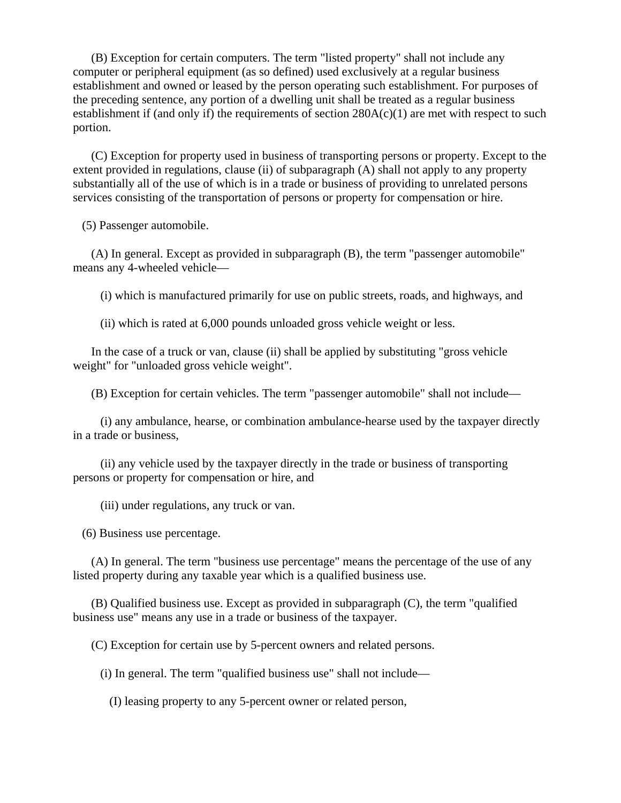(B) Exception for certain computers. The term "listed property" shall not include any computer or peripheral equipment (as so defined) used exclusively at a regular business establishment and owned or leased by the person operating such establishment. For purposes of the preceding sentence, any portion of a dwelling unit shall be treated as a regular business establishment if (and only if) the requirements of section  $280A(c)(1)$  are met with respect to such portion.

 (C) Exception for property used in business of transporting persons or property. Except to the extent provided in regulations, clause (ii) of subparagraph (A) shall not apply to any property substantially all of the use of which is in a trade or business of providing to unrelated persons services consisting of the transportation of persons or property for compensation or hire.

(5) Passenger automobile.

 (A) In general. Except as provided in subparagraph (B), the term "passenger automobile" means any 4-wheeled vehicle—

(i) which is manufactured primarily for use on public streets, roads, and highways, and

(ii) which is rated at 6,000 pounds unloaded gross vehicle weight or less.

 In the case of a truck or van, clause (ii) shall be applied by substituting "gross vehicle weight" for "unloaded gross vehicle weight".

(B) Exception for certain vehicles. The term "passenger automobile" shall not include—

 (i) any ambulance, hearse, or combination ambulance-hearse used by the taxpayer directly in a trade or business,

 (ii) any vehicle used by the taxpayer directly in the trade or business of transporting persons or property for compensation or hire, and

(iii) under regulations, any truck or van.

(6) Business use percentage.

 (A) In general. The term "business use percentage" means the percentage of the use of any listed property during any taxable year which is a qualified business use.

 (B) Qualified business use. Except as provided in subparagraph (C), the term "qualified business use" means any use in a trade or business of the taxpayer.

(C) Exception for certain use by 5-percent owners and related persons.

(i) In general. The term "qualified business use" shall not include—

(I) leasing property to any 5-percent owner or related person,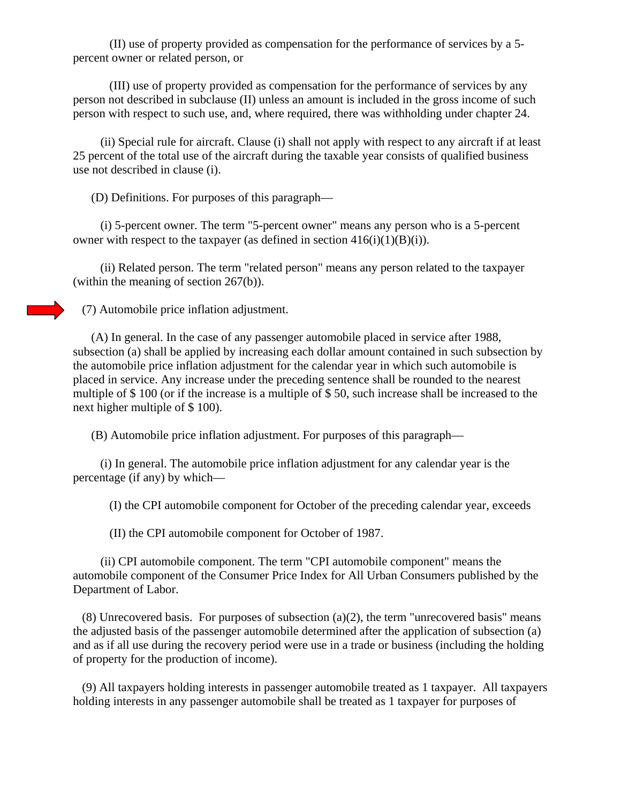(II) use of property provided as compensation for the performance of services by a 5 percent owner or related person, or

 (III) use of property provided as compensation for the performance of services by any person not described in subclause (II) unless an amount is included in the gross income of such person with respect to such use, and, where required, there was withholding under chapter 24.

 (ii) Special rule for aircraft. Clause (i) shall not apply with respect to any aircraft if at least 25 percent of the total use of the aircraft during the taxable year consists of qualified business use not described in clause (i).

(D) Definitions. For purposes of this paragraph—

 (i) 5-percent owner. The term "5-percent owner" means any person who is a 5-percent owner with respect to the taxpayer (as defined in section  $416(i)(1)(B)(i)$ ).

 (ii) Related person. The term "related person" means any person related to the taxpayer (within the meaning of section 267(b)).

(7) Automobile price inflation adjustment.

 (A) In general. In the case of any passenger automobile placed in service after 1988, subsection (a) shall be applied by increasing each dollar amount contained in such subsection by the automobile price inflation adjustment for the calendar year in which such automobile is placed in service. Any increase under the preceding sentence shall be rounded to the nearest multiple of \$ 100 (or if the increase is a multiple of \$ 50, such increase shall be increased to the next higher multiple of \$ 100).

(B) Automobile price inflation adjustment. For purposes of this paragraph—

 (i) In general. The automobile price inflation adjustment for any calendar year is the percentage (if any) by which—

(I) the CPI automobile component for October of the preceding calendar year, exceeds

(II) the CPI automobile component for October of 1987.

 (ii) CPI automobile component. The term "CPI automobile component" means the automobile component of the Consumer Price Index for All Urban Consumers published by the Department of Labor.

 $(8)$  Unrecovered basis. For purposes of subsection  $(a)(2)$ , the term "unrecovered basis" means the adjusted basis of the passenger automobile determined after the application of subsection (a) and as if all use during the recovery period were use in a trade or business (including the holding of property for the production of income).

 (9) All taxpayers holding interests in passenger automobile treated as 1 taxpayer. All taxpayers holding interests in any passenger automobile shall be treated as 1 taxpayer for purposes of